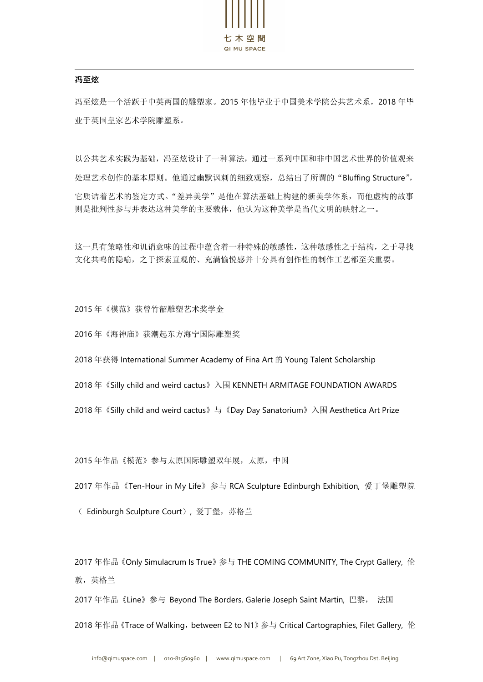

## 冯至炫

冯至炫是一个活跃于中英两国的雕塑家。2015 年他毕业于中国美术学院公共艺术系,2018 年毕 业于英国皇家艺术学院雕塑系。

以公共艺术实践为基础,冯至炫设计了一种算法,通过一系列中国和非中国艺术世界的价值观来 处理艺术创作的基本原则。他通过幽默讽刺的细致观察,总结出了所谓的"Bluffing Structure", 它质诘着艺术的鉴定方式。"差异美学"是他在算法基础上构建的新美学体系,而他虚构的故事 则是批判性参与并表达这种美学的主要载体,他认为这种美学是当代文明的映射之一。

这一具有策略性和讥诮意味的过程中蕴含着一种特殊的敏感性,这种敏感性之于结构,之于寻找 文化共鸣的隐喻,之于探索直观的、充满愉悦感并十分具有创作性的制作工艺都至关重要。

2015 年《模范》获曾竹韶雕塑艺术奖学金

2016 年《海神庙》获潮起东方海宁国际雕塑奖

2018 年获得 International Summer Academy of Fina Art 的 Young Talent Scholarship

2018 年《Silly child and weird cactus》入围 KENNETH ARMITAGE FOUNDATION AWARDS

2018 年《Silly child and weird cactus》与《Day Day Sanatorium》入围 Aesthetica Art Prize

2015 年作品《模范》参与太原国际雕塑双年展,太原,中国

2017 年作品《Ten-Hour in My Life》参与 RCA Sculpture Edinburgh Exhibition, 爱丁堡雕塑院

( Edinburgh Sculpture Court), 爱丁堡,苏格兰

2017 年作品《Only Simulacrum Is True》参与 THE COMING COMMUNITY, The Crypt Gallery, 伦 敦,英格兰

2017 年作品《Line》参与 Beyond The Borders, Galerie Joseph Saint Martin, 巴黎, 法国 2018 年作品 《Trace of Walking, between E2 to N1》 参与 Critical Cartographies, Filet Gallery, 伦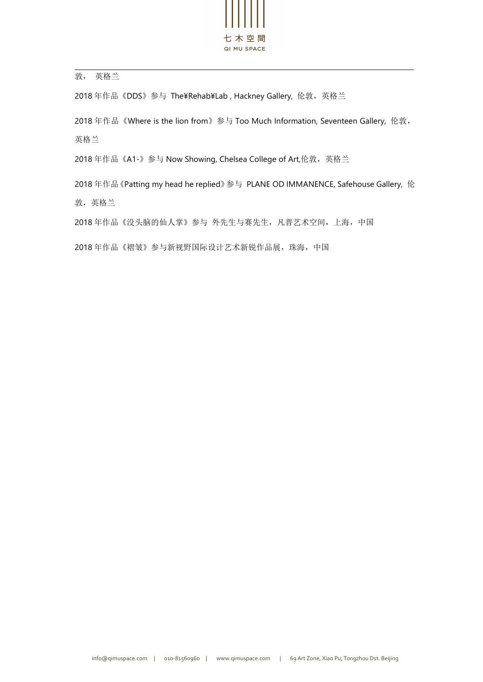

敦, 英格兰

2018年作品《DDS》参与 The¥Rehab¥Lab, Hackney Gallery, 伦敦, 英格兰

2018 年作品《Where is the lion from》参与 Too Much Information, Seventeen Gallery, 伦敦, 英格兰

2018 年作品《A1-》参与 Now Showing, Chelsea College of Art,伦敦,英格兰

2018 年作品《Patting my head he replied》参与 PLANE OD IMMANENCE, Safehouse Gallery, 伦

敦,英格兰

2018 年作品《没头脑的仙人掌》参与 外先生与赛先生,凡普艺术空间,上海,中国

2018 年作品《褶皱》参与新视野国际设计艺术新锐作品展,珠海,中国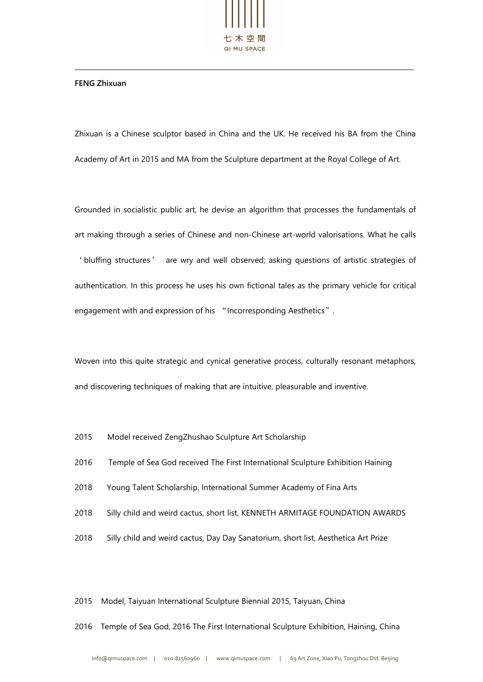

## **FENG Zhixuan**

Zhixuan is a Chinese sculptor based in China and the UK. He received his BA from the China Academy of Art in 2015 and MA from the Sculpture department at the Royal College of Art.<br>Grounded in socialistic public art, he devise an algorithm that processes the fundamentals of

art making through a series of Chinese and non-Chinese art-world valorisations. What he calls 'bluffing structures' are wry and well observed; asking questions of artistic strategies of authentication. In this process he uses his own fictional tales as the primary vehicle for critical engagement with and expression of his "Incorresponding Aesthetics".

Woven into this quite strategic and cynical generative process, culturally resonant metaphors, and discovering techniques of making that are intuitive, pleasurable and inventive.

- 2015 Model received ZengZhushao Sculpture Art Scholarship
- 2016 Temple of Sea God received The First International Sculpture Exhibition Haining
- 2018 Young Talent Scholarship, International Summer Academy of Fina Arts
- 2018 Silly child and weird cactus, short list, KENNETH ARMITAGE FOUNDATION AWARDS
- 2018 Silly child and weird cactus, Day Day Sanatorium, short list, Aesthetica Art Prize

2015 Model, Taiyuan International Sculpture Biennial 2015, Taiyuan, China

2016 Temple of Sea God, 2016 The First International Sculpture Exhibition, Haining, China